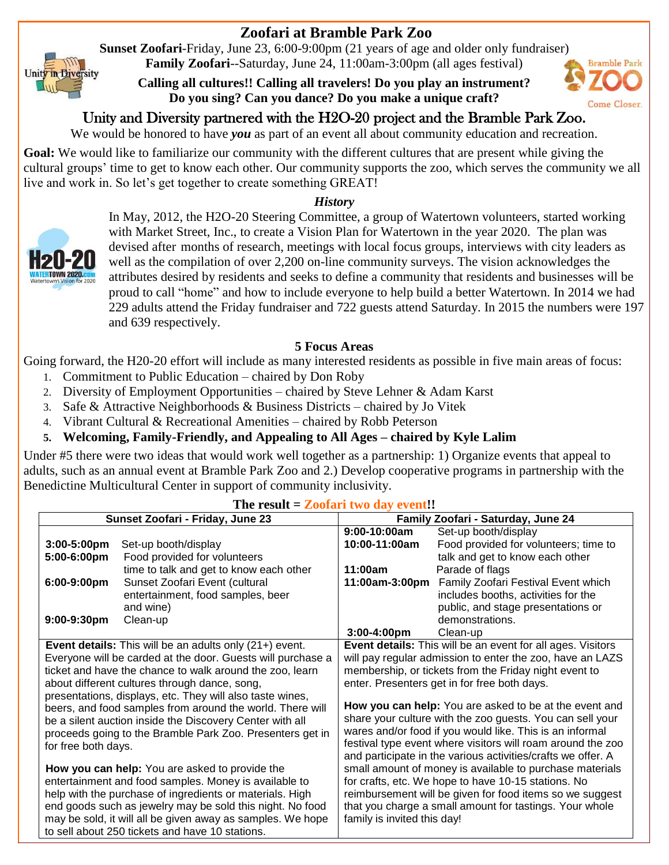## **Zoofari at Bramble Park Zoo**

**Sunset Zoofari**-Friday, June 23, 6:00-9:00pm (21 years of age and older only fundraiser) **Family Zoofari**--Saturday, June 24, 11:00am-3:00pm (all ages festival)

**Calling all cultures!! Calling all travelers! Do you play an instrument? Do you sing? Can you dance? Do you make a unique craft?**



We would be honored to have *you* as part of an event all about community education and recreation.

**Goal:** We would like to familiarize our community with the different cultures that are present while giving the cultural groups' time to get to know each other. Our community supports the zoo, which serves the community we all live and work in. So let's get together to create something GREAT!

## *History*



Unity in Diversity

In May, 2012, the H2O-20 Steering Committee, a group of Watertown volunteers, started working with Market Street, Inc., to create a Vision Plan for Watertown in the year 2020. The plan was devised after months of research, meetings with local focus groups, interviews with city leaders as well as the compilation of over 2,200 on-line community surveys. The vision acknowledges the attributes desired by residents and seeks to define a community that residents and businesses will be proud to call "home" and how to include everyone to help build a better Watertown. In 2014 we had 229 adults attend the Friday fundraiser and 722 guests attend Saturday. In 2015 the numbers were 197 and 639 respectively.

## **5 Focus Areas**

Going forward, the H20-20 effort will include as many interested residents as possible in five main areas of focus:

- 1. Commitment to Public Education chaired by Don Roby
- 2. Diversity of Employment Opportunities chaired by Steve Lehner & Adam Karst
- 3. Safe & Attractive Neighborhoods & Business Districts chaired by Jo Vitek
- 4. Vibrant Cultural & Recreational Amenities chaired by Robb Peterson

## **5. Welcoming, Family-Friendly, and Appealing to All Ages – chaired by Kyle Lalim**

Under #5 there were two ideas that would work well together as a partnership: 1) Organize events that appeal to adults, such as an annual event at Bramble Park Zoo and 2.) Develop cooperative programs in partnership with the Benedictine Multicultural Center in support of community inclusivity.

| The result – Zoolan two day event                              |                                         |                                                                    |                                                              |
|----------------------------------------------------------------|-----------------------------------------|--------------------------------------------------------------------|--------------------------------------------------------------|
| Sunset Zoofari - Friday, June 23                               |                                         | Family Zoofari - Saturday, June 24                                 |                                                              |
|                                                                |                                         | 9:00-10:00am                                                       | Set-up booth/display                                         |
| 3:00-5:00pm                                                    | Set-up booth/display                    | 10:00-11:00am                                                      | Food provided for volunteers; time to                        |
| 5:00-6:00pm                                                    | Food provided for volunteers            |                                                                    | talk and get to know each other                              |
|                                                                | time to talk and get to know each other | 11:00am                                                            | Parade of flags                                              |
| 6:00-9:00pm                                                    | Sunset Zoofari Event (cultural          | 11:00am-3:00pm                                                     | Family Zoofari Festival Event which                          |
|                                                                | entertainment, food samples, beer       |                                                                    | includes booths, activities for the                          |
|                                                                | and wine)                               |                                                                    | public, and stage presentations or                           |
| 9:00-9:30pm                                                    | Clean-up                                |                                                                    | demonstrations.                                              |
|                                                                |                                         | 3:00-4:00pm                                                        | Clean-up                                                     |
| <b>Event details:</b> This will be an adults only (21+) event. |                                         | <b>Event details:</b> This will be an event for all ages. Visitors |                                                              |
| Everyone will be carded at the door. Guests will purchase a    |                                         | will pay regular admission to enter the zoo, have an LAZS          |                                                              |
| ticket and have the chance to walk around the zoo, learn       |                                         | membership, or tickets from the Friday night event to              |                                                              |
| about different cultures through dance, song,                  |                                         | enter. Presenters get in for free both days.                       |                                                              |
| presentations, displays, etc. They will also taste wines,      |                                         |                                                                    |                                                              |
| beers, and food samples from around the world. There will      |                                         | How you can help: You are asked to be at the event and             |                                                              |
| be a silent auction inside the Discovery Center with all       |                                         | share your culture with the zoo guests. You can sell your          |                                                              |
| proceeds going to the Bramble Park Zoo. Presenters get in      |                                         | wares and/or food if you would like. This is an informal           |                                                              |
| for free both days.                                            |                                         | festival type event where visitors will roam around the zoo        |                                                              |
|                                                                |                                         |                                                                    | and participate in the various activities/crafts we offer. A |
| How you can help: You are asked to provide the                 |                                         | small amount of money is available to purchase materials           |                                                              |
| entertainment and food samples. Money is available to          |                                         | for crafts, etc. We hope to have 10-15 stations. No                |                                                              |
| help with the purchase of ingredients or materials. High       |                                         | reimbursement will be given for food items so we suggest           |                                                              |
| end goods such as jewelry may be sold this night. No food      |                                         | that you charge a small amount for tastings. Your whole            |                                                              |
| may be sold, it will all be given away as samples. We hope     |                                         | family is invited this day!                                        |                                                              |
| to sell about 250 tickets and have 10 stations.                |                                         |                                                                    |                                                              |

**The result = Zoofari two day event!!**